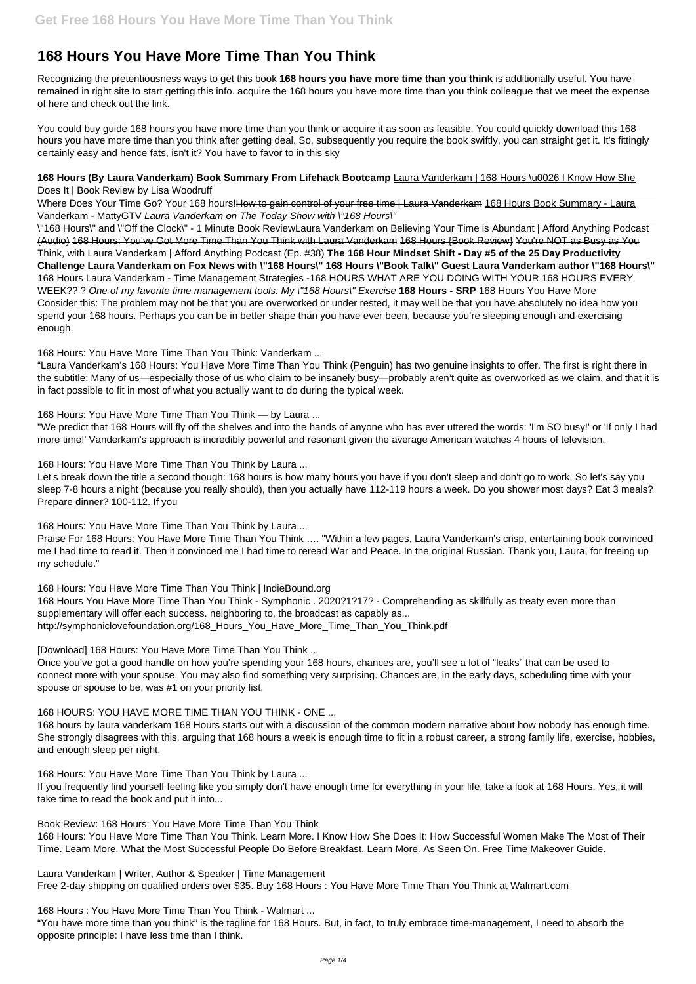# **168 Hours You Have More Time Than You Think**

Recognizing the pretentiousness ways to get this book **168 hours you have more time than you think** is additionally useful. You have remained in right site to start getting this info. acquire the 168 hours you have more time than you think colleague that we meet the expense of here and check out the link.

#### **168 Hours (By Laura Vanderkam) Book Summary From Lifehack Bootcamp** Laura Vanderkam | 168 Hours \u0026 I Know How She Does It | Book Review by Lisa Woodruff

Where Does Your Time Go? Your 168 hours!How to gain control of your free time | Laura Vanderkam 168 Hours Book Summary - Laura Vanderkam - MattyGTV Laura Vanderkam on The Today Show with \"168 Hours\"

You could buy guide 168 hours you have more time than you think or acquire it as soon as feasible. You could quickly download this 168 hours you have more time than you think after getting deal. So, subsequently you require the book swiftly, you can straight get it. It's fittingly certainly easy and hence fats, isn't it? You have to favor to in this sky

\"168 Hours\" and \"Off the Clock\" - 1 Minute Book ReviewLaura Vanderkam on Believing Your Time is Abundant | Afford Anything Podcast (Audio) 168 Hours: You've Got More Time Than You Think with Laura Vanderkam 168 Hours {Book Review} You're NOT as Busy as You Think, with Laura Vanderkam | Afford Anything Podcast (Ep. #38) **The 168 Hour Mindset Shift - Day #5 of the 25 Day Productivity Challenge Laura Vanderkam on Fox News with \"168 Hours\" 168 Hours \"Book Talk\" Guest Laura Vanderkam author \"168 Hours\"** 168 Hours Laura Vanderkam - Time Management Strategies -168 HOURS WHAT ARE YOU DOING WITH YOUR 168 HOURS EVERY WEEK?? ? One of my favorite time management tools: My \"168 Hours\" Exercise **168 Hours - SRP** 168 Hours You Have More Consider this: The problem may not be that you are overworked or under rested, it may well be that you have absolutely no idea how you spend your 168 hours. Perhaps you can be in better shape than you have ever been, because you're sleeping enough and exercising enough.

168 Hours: You Have More Time Than You Think: Vanderkam ...

"Laura Vanderkam's 168 Hours: You Have More Time Than You Think (Penguin) has two genuine insights to offer. The first is right there in the subtitle: Many of us—especially those of us who claim to be insanely busy—probably aren't quite as overworked as we claim, and that it is in fact possible to fit in most of what you actually want to do during the typical week.

168 Hours: You Have More Time Than You Think — by Laura ...

"We predict that 168 Hours will fly off the shelves and into the hands of anyone who has ever uttered the words: 'I'm SO busy!' or 'If only I had more time!' Vanderkam's approach is incredibly powerful and resonant given the average American watches 4 hours of television.

168 Hours: You Have More Time Than You Think by Laura ...

Let's break down the title a second though: 168 hours is how many hours you have if you don't sleep and don't go to work. So let's say you sleep 7-8 hours a night (because you really should), then you actually have 112-119 hours a week. Do you shower most days? Eat 3 meals? Prepare dinner? 100-112. If you

168 Hours: You Have More Time Than You Think by Laura ...

Praise For 168 Hours: You Have More Time Than You Think …. "Within a few pages, Laura Vanderkam's crisp, entertaining book convinced me I had time to read it. Then it convinced me I had time to reread War and Peace. In the original Russian. Thank you, Laura, for freeing up my schedule."

168 Hours: You Have More Time Than You Think | IndieBound.org

168 Hours You Have More Time Than You Think - Symphonic . 2020?1?17? - Comprehending as skillfully as treaty even more than supplementary will offer each success. neighboring to, the broadcast as capably as... http://symphoniclovefoundation.org/168\_Hours\_You\_Have\_More\_Time\_Than\_You\_Think.pdf

[Download] 168 Hours: You Have More Time Than You Think ...

Once you've got a good handle on how you're spending your 168 hours, chances are, you'll see a lot of "leaks" that can be used to connect more with your spouse. You may also find something very surprising. Chances are, in the early days, scheduling time with your spouse or spouse to be, was #1 on your priority list.

### 168 HOURS: YOU HAVE MORE TIME THAN YOU THINK - ONE ...

168 hours by laura vanderkam 168 Hours starts out with a discussion of the common modern narrative about how nobody has enough time. She strongly disagrees with this, arguing that 168 hours a week is enough time to fit in a robust career, a strong family life, exercise, hobbies,

and enough sleep per night.

168 Hours: You Have More Time Than You Think by Laura ...

If you frequently find yourself feeling like you simply don't have enough time for everything in your life, take a look at 168 Hours. Yes, it will take time to read the book and put it into...

Book Review: 168 Hours: You Have More Time Than You Think

168 Hours: You Have More Time Than You Think. Learn More. I Know How She Does It: How Successful Women Make The Most of Their Time. Learn More. What the Most Successful People Do Before Breakfast. Learn More. As Seen On. Free Time Makeover Guide.

Laura Vanderkam | Writer, Author & Speaker | Time Management Free 2-day shipping on qualified orders over \$35. Buy 168 Hours : You Have More Time Than You Think at Walmart.com

168 Hours : You Have More Time Than You Think - Walmart ...

"You have more time than you think" is the tagline for 168 Hours. But, in fact, to truly embrace time-management, I need to absorb the opposite principle: I have less time than I think.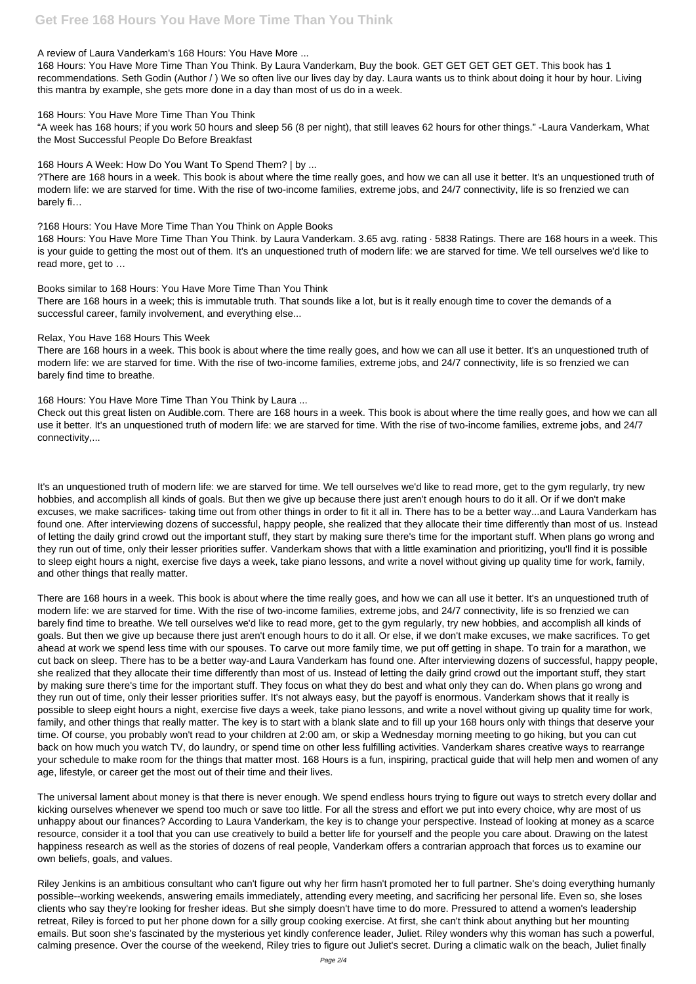## **Get Free 168 Hours You Have More Time Than You Think**

#### A review of Laura Vanderkam's 168 Hours: You Have More ...

168 Hours: You Have More Time Than You Think. By Laura Vanderkam, Buy the book. GET GET GET GET GET. This book has 1 recommendations. Seth Godin (Author / ) We so often live our lives day by day. Laura wants us to think about doing it hour by hour. Living this mantra by example, she gets more done in a day than most of us do in a week.

#### 168 Hours: You Have More Time Than You Think

"A week has 168 hours; if you work 50 hours and sleep 56 (8 per night), that still leaves 62 hours for other things." -Laura Vanderkam, What the Most Successful People Do Before Breakfast

#### 168 Hours A Week: How Do You Want To Spend Them? | by ...

?There are 168 hours in a week. This book is about where the time really goes, and how we can all use it better. It's an unquestioned truth of modern life: we are starved for time. With the rise of two-income families, extreme jobs, and 24/7 connectivity, life is so frenzied we can barely fi…

#### ?168 Hours: You Have More Time Than You Think on Apple Books

168 Hours: You Have More Time Than You Think. by Laura Vanderkam. 3.65 avg. rating · 5838 Ratings. There are 168 hours in a week. This is your guide to getting the most out of them. It's an unquestioned truth of modern life: we are starved for time. We tell ourselves we'd like to read more, get to …

#### Books similar to 168 Hours: You Have More Time Than You Think

There are 168 hours in a week; this is immutable truth. That sounds like a lot, but is it really enough time to cover the demands of a successful career, family involvement, and everything else...

#### Relax, You Have 168 Hours This Week

There are 168 hours in a week. This book is about where the time really goes, and how we can all use it better. It's an unquestioned truth of modern life: we are starved for time. With the rise of two-income families, extreme jobs, and 24/7 connectivity, life is so frenzied we can barely find time to breathe.

#### 168 Hours: You Have More Time Than You Think by Laura ...

Check out this great listen on Audible.com. There are 168 hours in a week. This book is about where the time really goes, and how we can all use it better. It's an unquestioned truth of modern life: we are starved for time. With the rise of two-income families, extreme jobs, and 24/7 connectivity,...

It's an unquestioned truth of modern life: we are starved for time. We tell ourselves we'd like to read more, get to the gym regularly, try new hobbies, and accomplish all kinds of goals. But then we give up because there just aren't enough hours to do it all. Or if we don't make excuses, we make sacrifices- taking time out from other things in order to fit it all in. There has to be a better way...and Laura Vanderkam has found one. After interviewing dozens of successful, happy people, she realized that they allocate their time differently than most of us. Instead of letting the daily grind crowd out the important stuff, they start by making sure there's time for the important stuff. When plans go wrong and they run out of time, only their lesser priorities suffer. Vanderkam shows that with a little examination and prioritizing, you'll find it is possible to sleep eight hours a night, exercise five days a week, take piano lessons, and write a novel without giving up quality time for work, family, and other things that really matter.

There are 168 hours in a week. This book is about where the time really goes, and how we can all use it better. It's an unquestioned truth of modern life: we are starved for time. With the rise of two-income families, extreme jobs, and 24/7 connectivity, life is so frenzied we can barely find time to breathe. We tell ourselves we'd like to read more, get to the gym regularly, try new hobbies, and accomplish all kinds of goals. But then we give up because there just aren't enough hours to do it all. Or else, if we don't make excuses, we make sacrifices. To get ahead at work we spend less time with our spouses. To carve out more family time, we put off getting in shape. To train for a marathon, we cut back on sleep. There has to be a better way-and Laura Vanderkam has found one. After interviewing dozens of successful, happy people, she realized that they allocate their time differently than most of us. Instead of letting the daily grind crowd out the important stuff, they start by making sure there's time for the important stuff. They focus on what they do best and what only they can do. When plans go wrong and they run out of time, only their lesser priorities suffer. It's not always easy, but the payoff is enormous. Vanderkam shows that it really is possible to sleep eight hours a night, exercise five days a week, take piano lessons, and write a novel without giving up quality time for work, family, and other things that really matter. The key is to start with a blank slate and to fill up your 168 hours only with things that deserve your time. Of course, you probably won't read to your children at 2:00 am, or skip a Wednesday morning meeting to go hiking, but you can cut

back on how much you watch TV, do laundry, or spend time on other less fulfilling activities. Vanderkam shares creative ways to rearrange your schedule to make room for the things that matter most. 168 Hours is a fun, inspiring, practical guide that will help men and women of any age, lifestyle, or career get the most out of their time and their lives.

The universal lament about money is that there is never enough. We spend endless hours trying to figure out ways to stretch every dollar and kicking ourselves whenever we spend too much or save too little. For all the stress and effort we put into every choice, why are most of us unhappy about our finances? According to Laura Vanderkam, the key is to change your perspective. Instead of looking at money as a scarce resource, consider it a tool that you can use creatively to build a better life for yourself and the people you care about. Drawing on the latest happiness research as well as the stories of dozens of real people, Vanderkam offers a contrarian approach that forces us to examine our own beliefs, goals, and values.

Riley Jenkins is an ambitious consultant who can't figure out why her firm hasn't promoted her to full partner. She's doing everything humanly possible--working weekends, answering emails immediately, attending every meeting, and sacrificing her personal life. Even so, she loses clients who say they're looking for fresher ideas. But she simply doesn't have time to do more. Pressured to attend a women's leadership retreat, Riley is forced to put her phone down for a silly group cooking exercise. At first, she can't think about anything but her mounting emails. But soon she's fascinated by the mysterious yet kindly conference leader, Juliet. Riley wonders why this woman has such a powerful, calming presence. Over the course of the weekend, Riley tries to figure out Juliet's secret. During a climatic walk on the beach, Juliet finally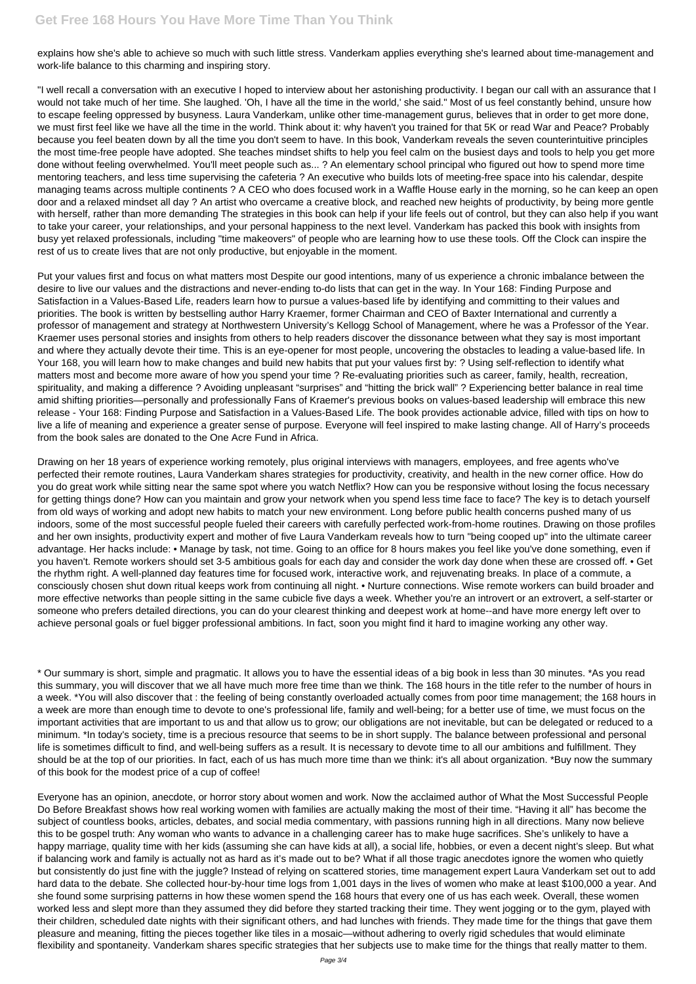explains how she's able to achieve so much with such little stress. Vanderkam applies everything she's learned about time-management and work-life balance to this charming and inspiring story.

"I well recall a conversation with an executive I hoped to interview about her astonishing productivity. I began our call with an assurance that I would not take much of her time. She laughed. 'Oh, I have all the time in the world,' she said." Most of us feel constantly behind, unsure how to escape feeling oppressed by busyness. Laura Vanderkam, unlike other time-management gurus, believes that in order to get more done, we must first feel like we have all the time in the world. Think about it: why haven't you trained for that 5K or read War and Peace? Probably because you feel beaten down by all the time you don't seem to have. In this book, Vanderkam reveals the seven counterintuitive principles the most time-free people have adopted. She teaches mindset shifts to help you feel calm on the busiest days and tools to help you get more done without feeling overwhelmed. You'll meet people such as... ? An elementary school principal who figured out how to spend more time mentoring teachers, and less time supervising the cafeteria ? An executive who builds lots of meeting-free space into his calendar, despite managing teams across multiple continents ? A CEO who does focused work in a Waffle House early in the morning, so he can keep an open door and a relaxed mindset all day ? An artist who overcame a creative block, and reached new heights of productivity, by being more gentle with herself, rather than more demanding The strategies in this book can help if your life feels out of control, but they can also help if you want to take your career, your relationships, and your personal happiness to the next level. Vanderkam has packed this book with insights from busy yet relaxed professionals, including "time makeovers" of people who are learning how to use these tools. Off the Clock can inspire the rest of us to create lives that are not only productive, but enjoyable in the moment.

Put your values first and focus on what matters most Despite our good intentions, many of us experience a chronic imbalance between the desire to live our values and the distractions and never-ending to-do lists that can get in the way. In Your 168: Finding Purpose and Satisfaction in a Values-Based Life, readers learn how to pursue a values-based life by identifying and committing to their values and priorities. The book is written by bestselling author Harry Kraemer, former Chairman and CEO of Baxter International and currently a professor of management and strategy at Northwestern University's Kellogg School of Management, where he was a Professor of the Year. Kraemer uses personal stories and insights from others to help readers discover the dissonance between what they say is most important and where they actually devote their time. This is an eye-opener for most people, uncovering the obstacles to leading a value-based life. In Your 168, you will learn how to make changes and build new habits that put your values first by: ? Using self-reflection to identify what matters most and become more aware of how you spend your time ? Re-evaluating priorities such as career, family, health, recreation, spirituality, and making a difference ? Avoiding unpleasant "surprises" and "hitting the brick wall" ? Experiencing better balance in real time amid shifting priorities—personally and professionally Fans of Kraemer's previous books on values-based leadership will embrace this new release - Your 168: Finding Purpose and Satisfaction in a Values-Based Life. The book provides actionable advice, filled with tips on how to live a life of meaning and experience a greater sense of purpose. Everyone will feel inspired to make lasting change. All of Harry's proceeds from the book sales are donated to the One Acre Fund in Africa.

Drawing on her 18 years of experience working remotely, plus original interviews with managers, employees, and free agents who've perfected their remote routines, Laura Vanderkam shares strategies for productivity, creativity, and health in the new corner office. How do you do great work while sitting near the same spot where you watch Netflix? How can you be responsive without losing the focus necessary for getting things done? How can you maintain and grow your network when you spend less time face to face? The key is to detach yourself from old ways of working and adopt new habits to match your new environment. Long before public health concerns pushed many of us indoors, some of the most successful people fueled their careers with carefully perfected work-from-home routines. Drawing on those profiles and her own insights, productivity expert and mother of five Laura Vanderkam reveals how to turn "being cooped up" into the ultimate career advantage. Her hacks include: • Manage by task, not time. Going to an office for 8 hours makes you feel like you've done something, even if you haven't. Remote workers should set 3-5 ambitious goals for each day and consider the work day done when these are crossed off. • Get the rhythm right. A well-planned day features time for focused work, interactive work, and rejuvenating breaks. In place of a commute, a consciously chosen shut down ritual keeps work from continuing all night. • Nurture connections. Wise remote workers can build broader and more effective networks than people sitting in the same cubicle five days a week. Whether you're an introvert or an extrovert, a self-starter or someone who prefers detailed directions, you can do your clearest thinking and deepest work at home--and have more energy left over to achieve personal goals or fuel bigger professional ambitions. In fact, soon you might find it hard to imagine working any other way.

\* Our summary is short, simple and pragmatic. It allows you to have the essential ideas of a big book in less than 30 minutes. \*As you read this summary, you will discover that we all have much more free time than we think. The 168 hours in the title refer to the number of hours in a week. \*You will also discover that : the feeling of being constantly overloaded actually comes from poor time management; the 168 hours in a week are more than enough time to devote to one's professional life, family and well-being; for a better use of time, we must focus on the important activities that are important to us and that allow us to grow; our obligations are not inevitable, but can be delegated or reduced to a minimum. \*In today's society, time is a precious resource that seems to be in short supply. The balance between professional and personal

life is sometimes difficult to find, and well-being suffers as a result. It is necessary to devote time to all our ambitions and fulfillment. They should be at the top of our priorities. In fact, each of us has much more time than we think: it's all about organization. \*Buy now the summary of this book for the modest price of a cup of coffee!

Everyone has an opinion, anecdote, or horror story about women and work. Now the acclaimed author of What the Most Successful People Do Before Breakfast shows how real working women with families are actually making the most of their time. "Having it all" has become the subject of countless books, articles, debates, and social media commentary, with passions running high in all directions. Many now believe this to be gospel truth: Any woman who wants to advance in a challenging career has to make huge sacrifices. She's unlikely to have a happy marriage, quality time with her kids (assuming she can have kids at all), a social life, hobbies, or even a decent night's sleep. But what if balancing work and family is actually not as hard as it's made out to be? What if all those tragic anecdotes ignore the women who quietly but consistently do just fine with the juggle? Instead of relying on scattered stories, time management expert Laura Vanderkam set out to add hard data to the debate. She collected hour-by-hour time logs from 1,001 days in the lives of women who make at least \$100,000 a year. And she found some surprising patterns in how these women spend the 168 hours that every one of us has each week. Overall, these women worked less and slept more than they assumed they did before they started tracking their time. They went jogging or to the gym, played with their children, scheduled date nights with their significant others, and had lunches with friends. They made time for the things that gave them pleasure and meaning, fitting the pieces together like tiles in a mosaic—without adhering to overly rigid schedules that would eliminate flexibility and spontaneity. Vanderkam shares specific strategies that her subjects use to make time for the things that really matter to them.